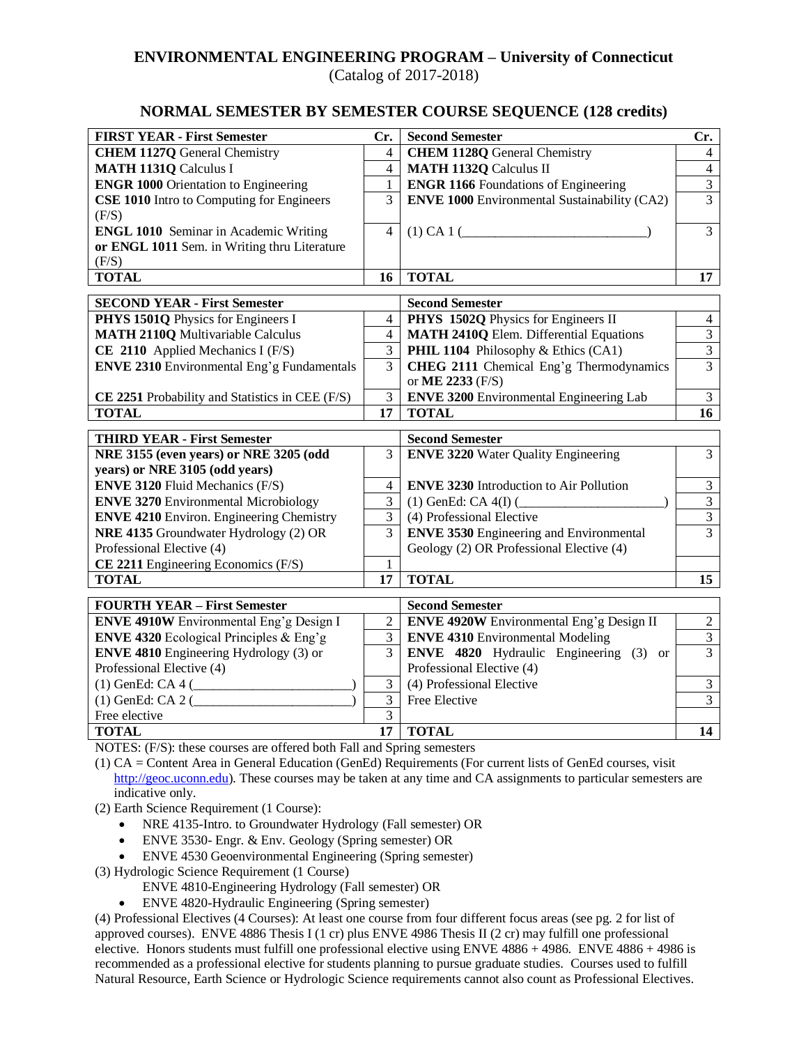## **ENVIRONMENTAL ENGINEERING PROGRAM – University of Connecticut**

(Catalog of 2017-2018)

## **NORMAL SEMESTER BY SEMESTER COURSE SEQUENCE (128 credits)**

| <b>FIRST YEAR - First Semester</b>                                                              | Cr.                          | <b>Second Semester</b>                                                                   | Cr.                                   |
|-------------------------------------------------------------------------------------------------|------------------------------|------------------------------------------------------------------------------------------|---------------------------------------|
| <b>CHEM 1127Q General Chemistry</b>                                                             | $\overline{4}$               | <b>CHEM 1128Q General Chemistry</b>                                                      | $\overline{4}$                        |
| <b>MATH 1131Q Calculus I</b>                                                                    | $\overline{4}$               | <b>MATH 1132Q Calculus II</b>                                                            | $\overline{4}$                        |
| <b>ENGR 1000 Orientation to Engineering</b>                                                     | $\mathbf{1}$                 | <b>ENGR 1166</b> Foundations of Engineering                                              | $\overline{\mathbf{3}}$               |
| <b>CSE 1010</b> Intro to Computing for Engineers                                                | 3                            | <b>ENVE 1000</b> Environmental Sustainability (CA2)                                      | $\overline{3}$                        |
| (F/S)                                                                                           |                              |                                                                                          |                                       |
| <b>ENGL 1010</b> Seminar in Academic Writing                                                    | 4                            |                                                                                          | $\overline{3}$                        |
| or ENGL 1011 Sem. in Writing thru Literature                                                    |                              |                                                                                          |                                       |
| (F/S)                                                                                           |                              |                                                                                          |                                       |
| <b>TOTAL</b>                                                                                    | 16                           | <b>TOTAL</b>                                                                             | 17                                    |
|                                                                                                 |                              |                                                                                          |                                       |
| <b>SECOND YEAR - First Semester</b>                                                             | $\overline{4}$               | <b>Second Semester</b><br>PHYS 1502Q Physics for Engineers II                            | $\overline{4}$                        |
| PHYS 1501Q Physics for Engineers I<br><b>MATH 2110Q Multivariable Calculus</b>                  | $\overline{4}$               | <b>MATH 2410Q Elem. Differential Equations</b>                                           | $\overline{3}$                        |
| CE 2110 Applied Mechanics I (F/S)                                                               | 3                            | PHIL 1104 Philosophy & Ethics (CA1)                                                      | $\overline{3}$                        |
| <b>ENVE 2310</b> Environmental Eng'g Fundamentals                                               | 3                            | CHEG 2111 Chemical Eng'g Thermodynamics                                                  | $\overline{3}$                        |
|                                                                                                 |                              | or ME 2233 (F/S)                                                                         |                                       |
| CE 2251 Probability and Statistics in CEE (F/S)                                                 | 3                            | <b>ENVE 3200</b> Environmental Engineering Lab                                           | $\mathfrak{Z}$                        |
| <b>TOTAL</b>                                                                                    | 17                           | <b>TOTAL</b>                                                                             | 16                                    |
|                                                                                                 |                              |                                                                                          |                                       |
|                                                                                                 |                              |                                                                                          |                                       |
| <b>THIRD YEAR - First Semester</b>                                                              |                              | <b>Second Semester</b>                                                                   |                                       |
| NRE 3155 (even years) or NRE 3205 (odd                                                          | 3                            | <b>ENVE 3220</b> Water Quality Engineering                                               | 3                                     |
| years) or NRE 3105 (odd years)                                                                  |                              |                                                                                          |                                       |
| <b>ENVE 3120 Fluid Mechanics (F/S)</b>                                                          | 4                            | <b>ENVE 3230</b> Introduction to Air Pollution                                           | $\overline{3}$                        |
| <b>ENVE 3270 Environmental Microbiology</b>                                                     | 3                            | $(1)$ GenEd: CA $4(I)$ (                                                                 | $\overline{3}$                        |
| <b>ENVE 4210 Environ. Engineering Chemistry</b>                                                 | 3                            | (4) Professional Elective                                                                | $\overline{3}$                        |
| NRE 4135 Groundwater Hydrology (2) OR                                                           | 3                            | <b>ENVE 3530 Engineering and Environmental</b>                                           | $\overline{3}$                        |
| Professional Elective (4)                                                                       |                              | Geology (2) OR Professional Elective (4)                                                 |                                       |
| CE 2211 Engineering Economics (F/S)                                                             | $\mathbf{1}$                 |                                                                                          |                                       |
| <b>TOTAL</b>                                                                                    | 17                           | <b>TOTAL</b>                                                                             | 15                                    |
|                                                                                                 |                              | <b>Second Semester</b>                                                                   |                                       |
| <b>FOURTH YEAR - First Semester</b>                                                             |                              |                                                                                          |                                       |
| ENVE 4910W Environmental Eng'g Design I                                                         | $\sqrt{2}$<br>$\mathfrak{Z}$ | ENVE 4920W Environmental Eng'g Design II                                                 | $\sqrt{2}$<br>$\overline{\mathbf{3}}$ |
| <b>ENVE 4320</b> Ecological Principles & Eng'g<br><b>ENVE 4810</b> Engineering Hydrology (3) or | 3                            | <b>ENVE 4310 Environmental Modeling</b><br><b>ENVE 4820</b> Hydraulic Engineering (3) or | $\overline{3}$                        |
| Professional Elective (4)                                                                       |                              | Professional Elective (4)                                                                |                                       |
|                                                                                                 | $\mathfrak{Z}$               | (4) Professional Elective                                                                | $\mathfrak{Z}$                        |
| $(1)$ GenEd: CA 4 (<br>$(1)$ GenEd: CA 2 $($                                                    | $\overline{3}$               | Free Elective                                                                            | $\overline{3}$                        |
| Free elective                                                                                   | 3                            |                                                                                          |                                       |

NOTES: (F/S): these courses are offered both Fall and Spring semesters

(1) CA = Content Area in General Education (GenEd) Requirements (For current lists of GenEd courses, visit [http://geoc.uconn.edu\)](http://geoc.uconn.edu/). These courses may be taken at any time and CA assignments to particular semesters are indicative only.

(2) Earth Science Requirement (1 Course):

- NRE 4135-Intro. to Groundwater Hydrology (Fall semester) OR
- ENVE 3530- Engr. & Env. Geology (Spring semester) OR
- ENVE 4530 Geoenvironmental Engineering (Spring semester)

(3) Hydrologic Science Requirement (1 Course)

ENVE 4810-Engineering Hydrology (Fall semester) OR

• ENVE 4820-Hydraulic Engineering (Spring semester)

(4) Professional Electives (4 Courses): At least one course from four different focus areas (see pg. 2 for list of approved courses). ENVE 4886 Thesis I (1 cr) plus ENVE 4986 Thesis II (2 cr) may fulfill one professional elective. Honors students must fulfill one professional elective using ENVE 4886 + 4986. ENVE 4886 + 4986 is recommended as a professional elective for students planning to pursue graduate studies. Courses used to fulfill Natural Resource, Earth Science or Hydrologic Science requirements cannot also count as Professional Electives.